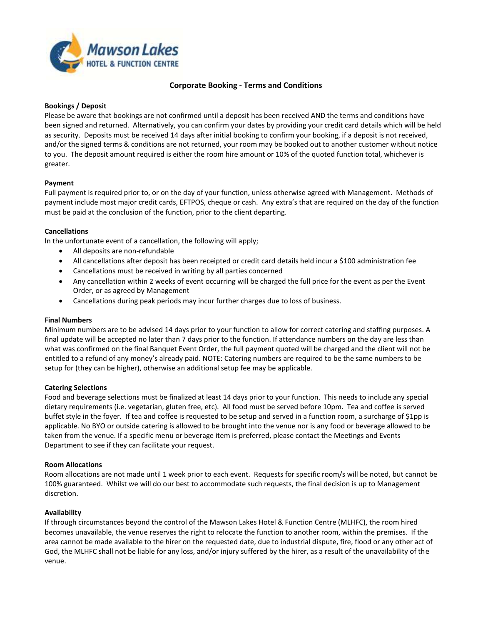

# **Corporate Booking - Terms and Conditions**

#### **Bookings / Deposit**

Please be aware that bookings are not confirmed until a deposit has been received AND the terms and conditions have been signed and returned. Alternatively, you can confirm your dates by providing your credit card details which will be held as security. Deposits must be received 14 days after initial booking to confirm your booking, if a deposit is not received, and/or the signed terms & conditions are not returned, your room may be booked out to another customer without notice to you. The deposit amount required is either the room hire amount or 10% of the quoted function total, whichever is greater.

## **Payment**

Full payment is required prior to, or on the day of your function, unless otherwise agreed with Management. Methods of payment include most major credit cards, EFTPOS, cheque or cash. Any extra's that are required on the day of the function must be paid at the conclusion of the function, prior to the client departing.

#### **Cancellations**

In the unfortunate event of a cancellation, the following will apply;

- All deposits are non-refundable
- All cancellations after deposit has been receipted or credit card details held incur a \$100 administration fee
- Cancellations must be received in writing by all parties concerned
- Any cancellation within 2 weeks of event occurring will be charged the full price for the event as per the Event Order, or as agreed by Management
- Cancellations during peak periods may incur further charges due to loss of business.

## **Final Numbers**

Minimum numbers are to be advised 14 days prior to your function to allow for correct catering and staffing purposes. A final update will be accepted no later than 7 days prior to the function. If attendance numbers on the day are less than what was confirmed on the final Banquet Event Order, the full payment quoted will be charged and the client will not be entitled to a refund of any money's already paid. NOTE: Catering numbers are required to be the same numbers to be setup for (they can be higher), otherwise an additional setup fee may be applicable.

#### **Catering Selections**

Food and beverage selections must be finalized at least 14 days prior to your function. This needs to include any special dietary requirements (i.e. vegetarian, gluten free, etc). All food must be served before 10pm. Tea and coffee is served buffet style in the foyer. If tea and coffee is requested to be setup and served in a function room, a surcharge of \$1pp is applicable. No BYO or outside catering is allowed to be brought into the venue nor is any food or beverage allowed to be taken from the venue. If a specific menu or beverage item is preferred, please contact the Meetings and Events Department to see if they can facilitate your request.

## **Room Allocations**

Room allocations are not made until 1 week prior to each event. Requests for specific room/s will be noted, but cannot be 100% guaranteed. Whilst we will do our best to accommodate such requests, the final decision is up to Management discretion.

## **Availability**

If through circumstances beyond the control of the Mawson Lakes Hotel & Function Centre (MLHFC), the room hired becomes unavailable, the venue reserves the right to relocate the function to another room, within the premises. If the area cannot be made available to the hirer on the requested date, due to industrial dispute, fire, flood or any other act of God, the MLHFC shall not be liable for any loss, and/or injury suffered by the hirer, as a result of the unavailability of the venue.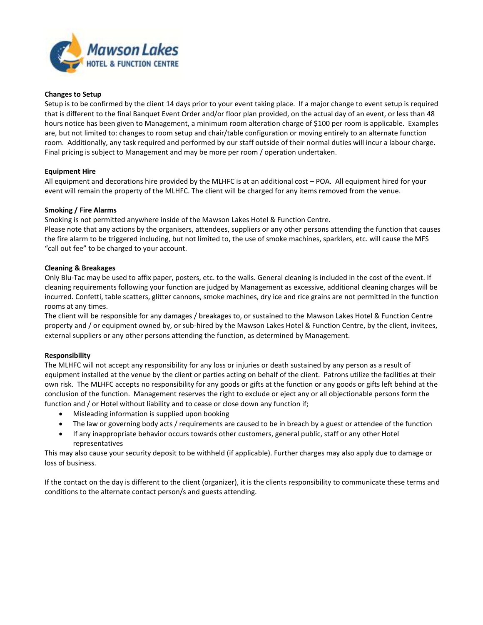

#### **Changes to Setup**

Setup is to be confirmed by the client 14 days prior to your event taking place. If a major change to event setup is required that is different to the final Banquet Event Order and/or floor plan provided, on the actual day of an event, or less than 48 hours notice has been given to Management, a minimum room alteration charge of \$100 per room is applicable. Examples are, but not limited to: changes to room setup and chair/table configuration or moving entirely to an alternate function room. Additionally, any task required and performed by our staff outside of their normal duties will incur a labour charge. Final pricing is subject to Management and may be more per room / operation undertaken.

#### **Equipment Hire**

All equipment and decorations hire provided by the MLHFC is at an additional cost – POA. All equipment hired for your event will remain the property of the MLHFC. The client will be charged for any items removed from the venue.

#### **Smoking / Fire Alarms**

Smoking is not permitted anywhere inside of the Mawson Lakes Hotel & Function Centre.

Please note that any actions by the organisers, attendees, suppliers or any other persons attending the function that causes the fire alarm to be triggered including, but not limited to, the use of smoke machines, sparklers, etc. will cause the MFS "call out fee" to be charged to your account.

#### **Cleaning & Breakages**

Only Blu-Tac may be used to affix paper, posters, etc. to the walls. General cleaning is included in the cost of the event. If cleaning requirements following your function are judged by Management as excessive, additional cleaning charges will be incurred. Confetti, table scatters, glitter cannons, smoke machines, dry ice and rice grains are not permitted in the function rooms at any times.

The client will be responsible for any damages / breakages to, or sustained to the Mawson Lakes Hotel & Function Centre property and / or equipment owned by, or sub-hired by the Mawson Lakes Hotel & Function Centre, by the client, invitees, external suppliers or any other persons attending the function, as determined by Management.

## **Responsibility**

The MLHFC will not accept any responsibility for any loss or injuries or death sustained by any person as a result of equipment installed at the venue by the client or parties acting on behalf of the client. Patrons utilize the facilities at their own risk. The MLHFC accepts no responsibility for any goods or gifts at the function or any goods or gifts left behind at the conclusion of the function. Management reserves the right to exclude or eject any or all objectionable persons form the function and / or Hotel without liability and to cease or close down any function if;

- Misleading information is supplied upon booking
- The law or governing body acts / requirements are caused to be in breach by a guest or attendee of the function
- If any inappropriate behavior occurs towards other customers, general public, staff or any other Hotel representatives

This may also cause your security deposit to be withheld (if applicable). Further charges may also apply due to damage or loss of business.

If the contact on the day is different to the client (organizer), it is the clients responsibility to communicate these terms and conditions to the alternate contact person/s and guests attending.